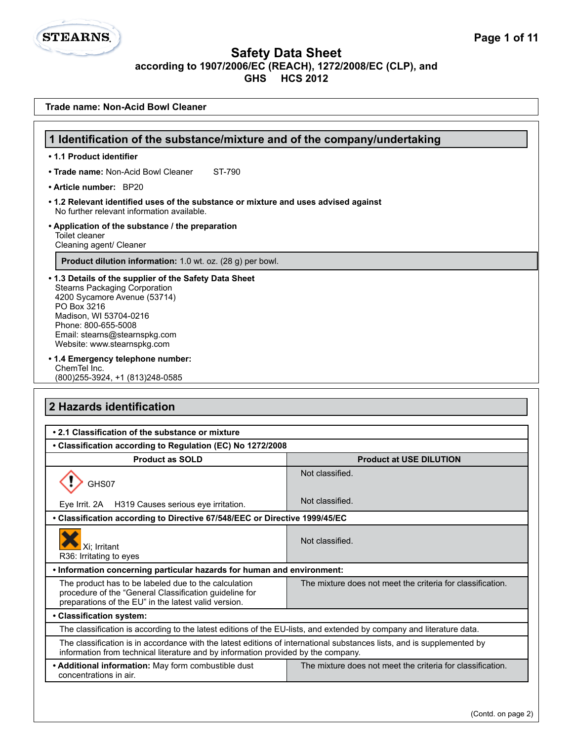**STEARNS.** 

| Trade name: Non-Acid Bowl Cleaner                                                                                                                                                                                                                              |                                                            |  |  |
|----------------------------------------------------------------------------------------------------------------------------------------------------------------------------------------------------------------------------------------------------------------|------------------------------------------------------------|--|--|
|                                                                                                                                                                                                                                                                |                                                            |  |  |
| 1 Identification of the substance/mixture and of the company/undertaking                                                                                                                                                                                       |                                                            |  |  |
| • 1.1 Product identifier                                                                                                                                                                                                                                       |                                                            |  |  |
| • Trade name: Non-Acid Bowl Cleaner<br>ST-790                                                                                                                                                                                                                  |                                                            |  |  |
| • Article number: BP20                                                                                                                                                                                                                                         |                                                            |  |  |
| • 1.2 Relevant identified uses of the substance or mixture and uses advised against<br>No further relevant information available.                                                                                                                              |                                                            |  |  |
| • Application of the substance / the preparation<br>Toilet cleaner<br>Cleaning agent/ Cleaner                                                                                                                                                                  |                                                            |  |  |
| Product dilution information: 1.0 wt. oz. (28 g) per bowl.                                                                                                                                                                                                     |                                                            |  |  |
| • 1.3 Details of the supplier of the Safety Data Sheet<br><b>Stearns Packaging Corporation</b><br>4200 Sycamore Avenue (53714)<br>PO Box 3216<br>Madison, WI 53704-0216<br>Phone: 800-655-5008<br>Email: stearns@stearnspkg.com<br>Website: www.stearnspkg.com |                                                            |  |  |
| • 1.4 Emergency telephone number:<br>ChemTel Inc.<br>(800) 255-3924, +1 (813) 248-0585                                                                                                                                                                         |                                                            |  |  |
| 2 Hazards identification                                                                                                                                                                                                                                       |                                                            |  |  |
| • 2.1 Classification of the substance or mixture                                                                                                                                                                                                               |                                                            |  |  |
| • Classification according to Regulation (EC) No 1272/2008                                                                                                                                                                                                     |                                                            |  |  |
| <b>Product as SOLD</b>                                                                                                                                                                                                                                         | <b>Product at USE DILUTION</b>                             |  |  |
| GHS07                                                                                                                                                                                                                                                          | Not classified.                                            |  |  |
| H319 Causes serious eye irritation.<br>Eye Irrit. 2A                                                                                                                                                                                                           | Not classified.                                            |  |  |
| • Classification according to Directive 67/548/EEC or Directive 1999/45/EC                                                                                                                                                                                     |                                                            |  |  |
| Xi; Irritant<br>R36: Irritating to eyes                                                                                                                                                                                                                        | Not classified.                                            |  |  |
| . Information concerning particular hazards for human and environment:                                                                                                                                                                                         |                                                            |  |  |
| The product has to be labeled due to the calculation<br>procedure of the "General Classification guideline for<br>preparations of the EU" in the latest valid version.                                                                                         | The mixture does not meet the criteria for classification. |  |  |
| • Classification system:                                                                                                                                                                                                                                       |                                                            |  |  |
| The classification is according to the latest editions of the EU-lists, and extended by company and literature data.                                                                                                                                           |                                                            |  |  |
| The classification is in accordance with the latest editions of international substances lists, and is supplemented by<br>information from technical literature and by information provided by the company.                                                    |                                                            |  |  |
| • Additional information: May form combustible dust<br>concentrations in air.                                                                                                                                                                                  | The mixture does not meet the criteria for classification. |  |  |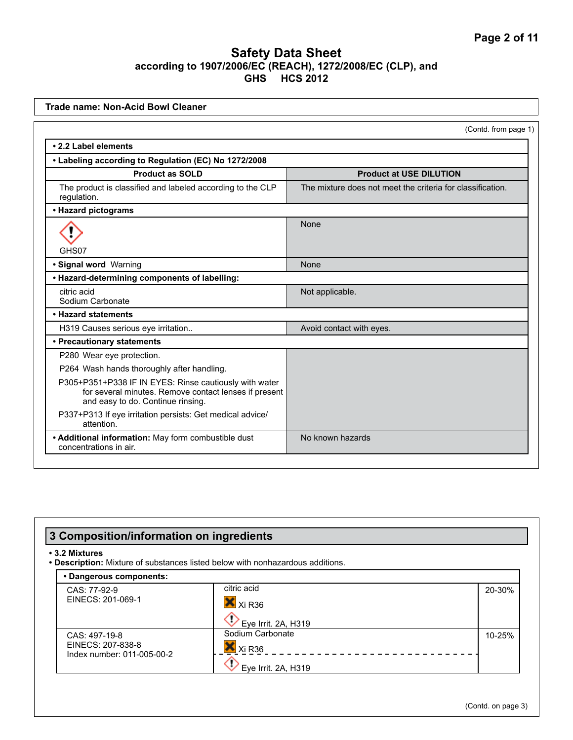| <b>Trade name: Non-Acid Bowl Cleaner</b>                                                                                                             |                                                            |  |
|------------------------------------------------------------------------------------------------------------------------------------------------------|------------------------------------------------------------|--|
|                                                                                                                                                      | (Contd. from page 1)                                       |  |
| • 2.2 Label elements                                                                                                                                 |                                                            |  |
| • Labeling according to Regulation (EC) No 1272/2008                                                                                                 |                                                            |  |
| <b>Product as SOLD</b>                                                                                                                               | <b>Product at USE DILUTION</b>                             |  |
| The product is classified and labeled according to the CLP<br>requlation.                                                                            | The mixture does not meet the criteria for classification. |  |
| • Hazard pictograms                                                                                                                                  |                                                            |  |
|                                                                                                                                                      | None                                                       |  |
| GHS07                                                                                                                                                |                                                            |  |
| · Signal word Warning                                                                                                                                | None                                                       |  |
| • Hazard-determining components of labelling:                                                                                                        |                                                            |  |
| citric acid<br>Sodium Carbonate                                                                                                                      | Not applicable.                                            |  |
| • Hazard statements                                                                                                                                  |                                                            |  |
| H319 Causes serious eye irritation                                                                                                                   | Avoid contact with eyes.                                   |  |
| • Precautionary statements                                                                                                                           |                                                            |  |
| P280 Wear eye protection.                                                                                                                            |                                                            |  |
| P264 Wash hands thoroughly after handling.                                                                                                           |                                                            |  |
| P305+P351+P338 IF IN EYES: Rinse cautiously with water<br>for several minutes. Remove contact lenses if present<br>and easy to do. Continue rinsing. |                                                            |  |
| P337+P313 If eye irritation persists: Get medical advice/<br>attention.                                                                              |                                                            |  |
| • Additional information: May form combustible dust<br>concentrations in air.                                                                        | No known hazards                                           |  |

| • 3.2 Mixtures                                                   | . Description: Mixture of substances listed below with nonhazardous additions. |        |
|------------------------------------------------------------------|--------------------------------------------------------------------------------|--------|
| • Dangerous components:                                          |                                                                                |        |
| CAS: 77-92-9<br>EINECS: 201-069-1                                | citric acid<br>Xi R36<br>Eye Irrit. 2A, H319                                   | 20-30% |
| CAS: 497-19-8<br>EINECS: 207-838-8<br>Index number: 011-005-00-2 | Sodium Carbonate<br>Xi R36<br>Eye Irrit. 2A, H319                              | 10-25% |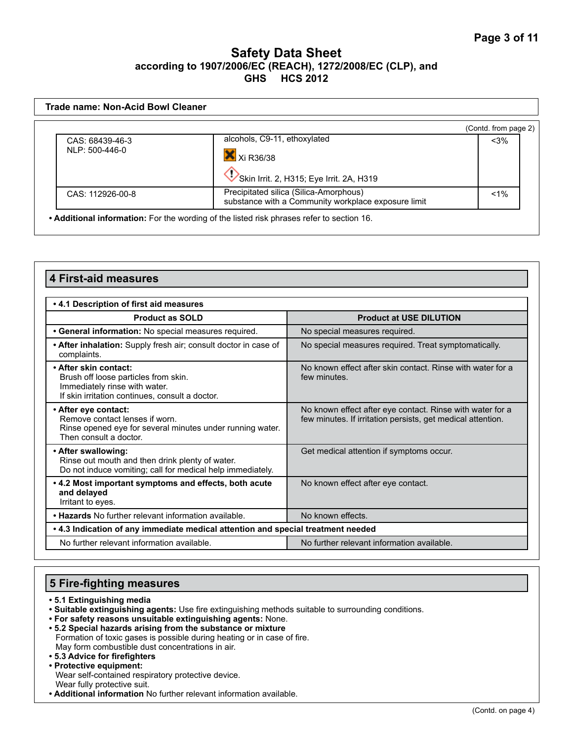|                  |                                                                                               | (Contd. from page 2) |
|------------------|-----------------------------------------------------------------------------------------------|----------------------|
| CAS: 68439-46-3  | alcohols, C9-11, ethoxylated                                                                  | $<$ 3%               |
| NLP: 500-446-0   | X Xi R36/38                                                                                   |                      |
|                  | Skin Irrit. 2, H315; Eye Irrit. 2A, H319                                                      |                      |
| CAS: 112926-00-8 | Precipitated silica (Silica-Amorphous)<br>substance with a Community workplace exposure limit | $< 1\%$              |

| <b>4 First-aid measures</b>                                                                                                                       |                                                                                                                          |  |
|---------------------------------------------------------------------------------------------------------------------------------------------------|--------------------------------------------------------------------------------------------------------------------------|--|
| . 4.1 Description of first aid measures                                                                                                           |                                                                                                                          |  |
| <b>Product as SOLD</b>                                                                                                                            | <b>Product at USE DILUTION</b>                                                                                           |  |
| • General information: No special measures required.                                                                                              | No special measures required.                                                                                            |  |
| • After inhalation: Supply fresh air; consult doctor in case of<br>complaints.                                                                    | No special measures required. Treat symptomatically.                                                                     |  |
| • After skin contact:<br>Brush off loose particles from skin.<br>Immediately rinse with water.<br>If skin irritation continues, consult a doctor. | No known effect after skin contact. Rinse with water for a<br>few minutes.                                               |  |
| • After eye contact:<br>Remove contact lenses if worn.<br>Rinse opened eye for several minutes under running water.<br>Then consult a doctor.     | No known effect after eye contact. Rinse with water for a<br>few minutes. If irritation persists, get medical attention. |  |
| • After swallowing:<br>Rinse out mouth and then drink plenty of water.<br>Do not induce vomiting; call for medical help immediately.              | Get medical attention if symptoms occur.                                                                                 |  |
| • 4.2 Most important symptoms and effects, both acute<br>and delayed<br>Irritant to eyes.                                                         | No known effect after eye contact.                                                                                       |  |
| • Hazards No further relevant information available.                                                                                              | No known effects.                                                                                                        |  |
| . 4.3 Indication of any immediate medical attention and special treatment needed                                                                  |                                                                                                                          |  |
| No further relevant information available.                                                                                                        | No further relevant information available.                                                                               |  |

## **5 Fire-fighting measures**

- **5.1 Extinguishing media**
- **Suitable extinguishing agents:** Use fire extinguishing methods suitable to surrounding conditions.
- **For safety reasons unsuitable extinguishing agents:** None.
- **5.2 Special hazards arising from the substance or mixture**  Formation of toxic gases is possible during heating or in case of fire. May form combustible dust concentrations in air.
- **5.3 Advice for firefighters**
- **Protective equipment:** Wear self-contained respiratory protective device. Wear fully protective suit.
- **Additional information** No further relevant information available.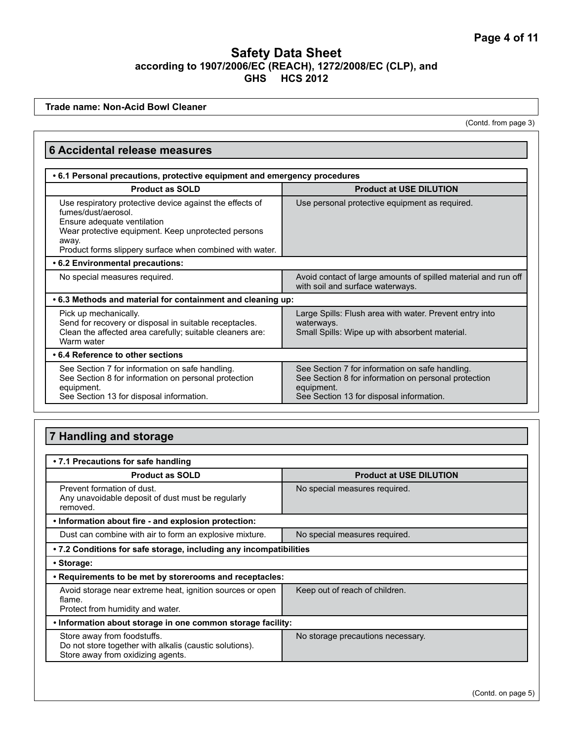**Trade name: Non-Acid Bowl Cleaner**

(Contd. from page 3)

| <b>6 Accidental release measures</b>                                                                                                                                                                                                       |                                                                                                                                                                   |  |
|--------------------------------------------------------------------------------------------------------------------------------------------------------------------------------------------------------------------------------------------|-------------------------------------------------------------------------------------------------------------------------------------------------------------------|--|
| • 6.1 Personal precautions, protective equipment and emergency procedures                                                                                                                                                                  |                                                                                                                                                                   |  |
| <b>Product as SOLD</b>                                                                                                                                                                                                                     | <b>Product at USE DILUTION</b>                                                                                                                                    |  |
| Use respiratory protective device against the effects of<br>fumes/dust/aerosol.<br>Ensure adequate ventilation<br>Wear protective equipment. Keep unprotected persons<br>away.<br>Product forms slippery surface when combined with water. | Use personal protective equipment as required.                                                                                                                    |  |
| • 6.2 Environmental precautions:                                                                                                                                                                                                           |                                                                                                                                                                   |  |
| No special measures required.                                                                                                                                                                                                              | Avoid contact of large amounts of spilled material and run off<br>with soil and surface waterways.                                                                |  |
| .6.3 Methods and material for containment and cleaning up:                                                                                                                                                                                 |                                                                                                                                                                   |  |
| Pick up mechanically.<br>Send for recovery or disposal in suitable receptacles.<br>Clean the affected area carefully; suitable cleaners are:<br>Warm water                                                                                 | Large Spills: Flush area with water. Prevent entry into<br>waterways.<br>Small Spills: Wipe up with absorbent material.                                           |  |
| • 6.4 Reference to other sections                                                                                                                                                                                                          |                                                                                                                                                                   |  |
| See Section 7 for information on safe handling.<br>See Section 8 for information on personal protection<br>equipment.<br>See Section 13 for disposal information.                                                                          | See Section 7 for information on safe handling.<br>See Section 8 for information on personal protection<br>equipment.<br>See Section 13 for disposal information. |  |

## **7 Handling and storage**

| • 7.1 Precautions for safe handling                                                                                         |                                   |  |
|-----------------------------------------------------------------------------------------------------------------------------|-----------------------------------|--|
| <b>Product as SOLD</b>                                                                                                      | <b>Product at USE DILUTION</b>    |  |
| Prevent formation of dust.<br>Any unavoidable deposit of dust must be regularly<br>removed.                                 | No special measures required.     |  |
| . Information about fire - and explosion protection:                                                                        |                                   |  |
| Dust can combine with air to form an explosive mixture.                                                                     | No special measures required.     |  |
| • 7.2 Conditions for safe storage, including any incompatibilities                                                          |                                   |  |
| • Storage:                                                                                                                  |                                   |  |
| . Requirements to be met by storerooms and receptacles:                                                                     |                                   |  |
| Avoid storage near extreme heat, ignition sources or open<br>flame.<br>Protect from humidity and water.                     | Keep out of reach of children.    |  |
| . Information about storage in one common storage facility:                                                                 |                                   |  |
| Store away from foodstuffs.<br>Do not store together with alkalis (caustic solutions).<br>Store away from oxidizing agents. | No storage precautions necessary. |  |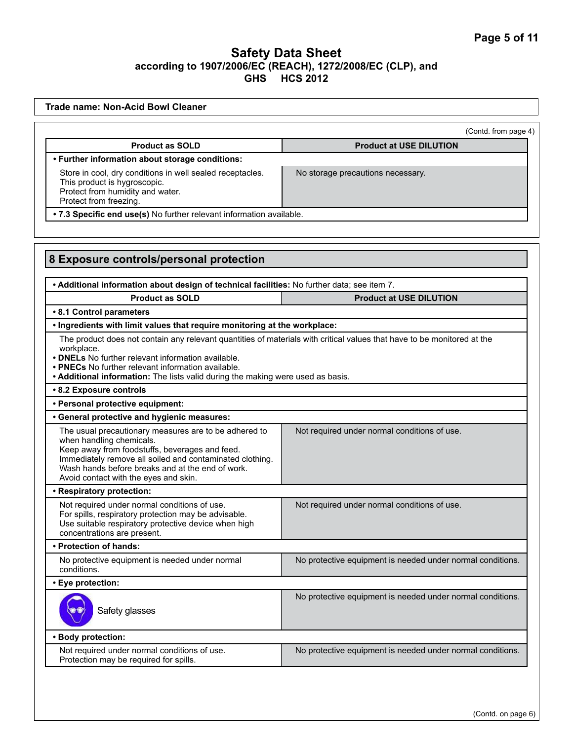| <b>Trade name: Non-Acid Bowl Cleaner</b>                                                                                                                                                                                                                                                                                             |                                                            |  |
|--------------------------------------------------------------------------------------------------------------------------------------------------------------------------------------------------------------------------------------------------------------------------------------------------------------------------------------|------------------------------------------------------------|--|
|                                                                                                                                                                                                                                                                                                                                      | (Contd. from page 4)                                       |  |
| <b>Product as SOLD</b>                                                                                                                                                                                                                                                                                                               | <b>Product at USE DILUTION</b>                             |  |
| • Further information about storage conditions:                                                                                                                                                                                                                                                                                      |                                                            |  |
| Store in cool, dry conditions in well sealed receptacles.<br>This product is hygroscopic.<br>Protect from humidity and water.<br>Protect from freezing.                                                                                                                                                                              | No storage precautions necessary.                          |  |
| . 7.3 Specific end use(s) No further relevant information available.                                                                                                                                                                                                                                                                 |                                                            |  |
|                                                                                                                                                                                                                                                                                                                                      |                                                            |  |
| 8 Exposure controls/personal protection                                                                                                                                                                                                                                                                                              |                                                            |  |
| . Additional information about design of technical facilities: No further data; see item 7.                                                                                                                                                                                                                                          |                                                            |  |
| <b>Product as SOLD</b>                                                                                                                                                                                                                                                                                                               | <b>Product at USE DILUTION</b>                             |  |
| • 8.1 Control parameters<br>. Ingredients with limit values that require monitoring at the workplace:                                                                                                                                                                                                                                |                                                            |  |
| The product does not contain any relevant quantities of materials with critical values that have to be monitored at the<br>workplace.<br>• DNELs No further relevant information available.<br>• PNECs No further relevant information available.<br>• Additional information: The lists valid during the making were used as basis. |                                                            |  |
| • 8.2 Exposure controls                                                                                                                                                                                                                                                                                                              |                                                            |  |
| • Personal protective equipment:                                                                                                                                                                                                                                                                                                     |                                                            |  |
| • General protective and hygienic measures:                                                                                                                                                                                                                                                                                          |                                                            |  |
| The usual precautionary measures are to be adhered to<br>when handling chemicals.<br>Keep away from foodstuffs, beverages and feed.<br>Immediately remove all soiled and contaminated clothing.<br>Wash hands before breaks and at the end of work.<br>Avoid contact with the eyes and skin.                                         | Not required under normal conditions of use.               |  |
| • Respiratory protection:                                                                                                                                                                                                                                                                                                            |                                                            |  |
| Not required under normal conditions of use.<br>For spills, respiratory protection may be advisable.<br>Use suitable respiratory protective device when high<br>concentrations are present.                                                                                                                                          | Not required under normal conditions of use.               |  |
| • Protection of hands:                                                                                                                                                                                                                                                                                                               |                                                            |  |
| No protective equipment is needed under normal<br>conditions.                                                                                                                                                                                                                                                                        | No protective equipment is needed under normal conditions. |  |
| • Eye protection:                                                                                                                                                                                                                                                                                                                    |                                                            |  |
| Safety glasses                                                                                                                                                                                                                                                                                                                       | No protective equipment is needed under normal conditions. |  |
| · Body protection:                                                                                                                                                                                                                                                                                                                   |                                                            |  |
| Not required under normal conditions of use.<br>Protection may be required for spills.                                                                                                                                                                                                                                               | No protective equipment is needed under normal conditions. |  |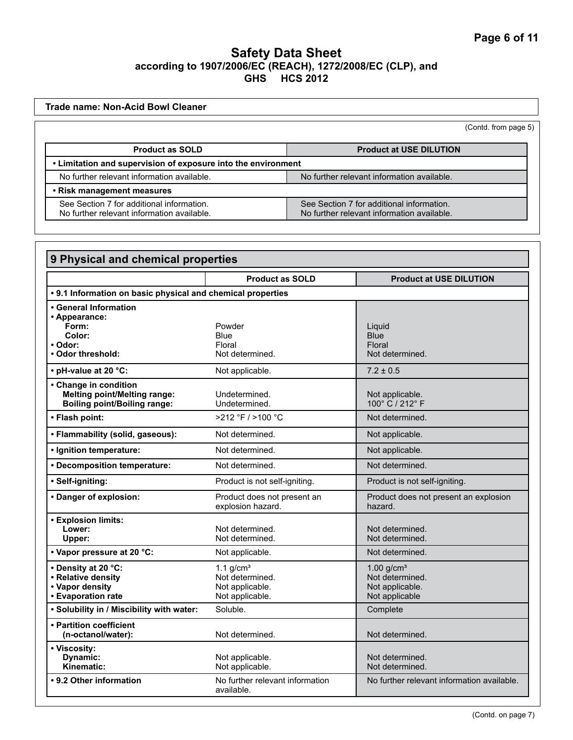| Trade name: Non-Acid Bowl Cleaner                                                        |                                                                                         |  |
|------------------------------------------------------------------------------------------|-----------------------------------------------------------------------------------------|--|
|                                                                                          | (Contd. from page 5)                                                                    |  |
| <b>Product as SOLD</b>                                                                   | <b>Product at USE DILUTION</b>                                                          |  |
| • Limitation and supervision of exposure into the environment                            |                                                                                         |  |
| No further relevant information available.<br>No further relevant information available. |                                                                                         |  |
| • Risk management measures                                                               |                                                                                         |  |
| See Section 7 for additional information.<br>No further relevant information available.  | See Section 7 for additional information.<br>No further relevant information available. |  |

| 9 Physical and chemical properties                                                                  |                                                                      |                                                                      |
|-----------------------------------------------------------------------------------------------------|----------------------------------------------------------------------|----------------------------------------------------------------------|
|                                                                                                     | <b>Product as SOLD</b>                                               | <b>Product at USE DILUTION</b>                                       |
| • 9.1 Information on basic physical and chemical properties                                         |                                                                      |                                                                      |
| • General Information<br>• Appearance:<br>Form:<br>Color:<br>• Odor:<br>• Odor threshold:           | Powder<br>Blue<br>Floral<br>Not determined.                          | Liguid<br><b>Blue</b><br>Floral<br>Not determined.                   |
| • pH-value at 20 °C:                                                                                | Not applicable.                                                      | $7.2 \pm 0.5$                                                        |
| • Change in condition<br><b>Melting point/Melting range:</b><br><b>Boiling point/Boiling range:</b> | Undetermined.<br>Undetermined.                                       | Not applicable.<br>100° C / 212° F                                   |
| • Flash point:                                                                                      | $>212$ °F / $>100$ °C                                                | Not determined.                                                      |
| • Flammability (solid, gaseous):                                                                    | Not determined.                                                      | Not applicable.                                                      |
| · Ignition temperature:                                                                             | Not determined.                                                      | Not applicable.                                                      |
| • Decomposition temperature:                                                                        | Not determined.                                                      | Not determined.                                                      |
| • Self-igniting:                                                                                    | Product is not self-igniting.                                        | Product is not self-igniting.                                        |
| • Danger of explosion:                                                                              | Product does not present an<br>explosion hazard.                     | Product does not present an explosion<br>hazard.                     |
| • Explosion limits:<br>Lower:<br>Upper:                                                             | Not determined.<br>Not determined.                                   | Not determined.<br>Not determined.                                   |
| • Vapor pressure at 20 °C:                                                                          | Not applicable.                                                      | Not determined.                                                      |
| • Density at 20 °C:<br>• Relative density<br>• Vapor density<br>• Evaporation rate                  | 1.1 $g/cm3$<br>Not determined.<br>Not applicable.<br>Not applicable. | 1.00 $g/cm3$<br>Not determined.<br>Not applicable.<br>Not applicable |
| . Solubility in / Miscibility with water:                                                           | Soluble.                                                             | Complete                                                             |
| • Partition coefficient<br>(n-octanol/water):                                                       | Not determined.                                                      | Not determined.                                                      |
| • Viscosity:<br>Dynamic:<br>Kinematic:                                                              | Not applicable.<br>Not applicable.                                   | Not determined.<br>Not determined.                                   |
| • 9.2 Other information                                                                             | No further relevant information<br>available.                        | No further relevant information available.                           |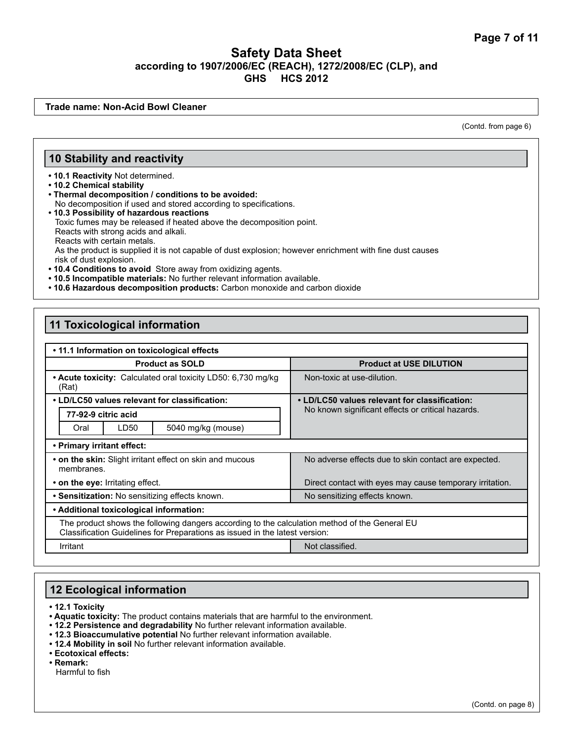**Trade name: Non-Acid Bowl Cleaner**

(Contd. from page 6)

#### **10 Stability and reactivity**

**• 10.1 Reactivity** Not determined.

**• 10.2 Chemical stability**

- **Thermal decomposition / conditions to be avoided:** No decomposition if used and stored according to specifications.
- **10.3 Possibility of hazardous reactions** Toxic fumes may be released if heated above the decomposition point. Reacts with strong acids and alkali. Reacts with certain metals. As the product is supplied it is not capable of dust explosion; however enrichment with fine dust causes risk of dust explosion.
- **10.4 Conditions to avoid** Store away from oxidizing agents.
- **10.5 Incompatible materials:** No further relevant information available.
- **10.6 Hazardous decomposition products:** Carbon monoxide and carbon dioxide

#### **11 Toxicological information**

| • 11.1 Information on toxicological effects                                                                                                                                  |                                                                                                    |  |
|------------------------------------------------------------------------------------------------------------------------------------------------------------------------------|----------------------------------------------------------------------------------------------------|--|
| <b>Product as SOLD</b>                                                                                                                                                       | <b>Product at USE DILUTION</b>                                                                     |  |
| • Acute toxicity: Calculated oral toxicity LD50: 6,730 mg/kg<br>(Rat)                                                                                                        | Non-toxic at use-dilution.                                                                         |  |
| • LD/LC50 values relevant for classification:                                                                                                                                | • LD/LC50 values relevant for classification:<br>No known significant effects or critical hazards. |  |
| 77-92-9 citric acid                                                                                                                                                          |                                                                                                    |  |
| LD50<br>5040 mg/kg (mouse)<br>Oral                                                                                                                                           |                                                                                                    |  |
| • Primary irritant effect:                                                                                                                                                   |                                                                                                    |  |
| • on the skin: Slight irritant effect on skin and mucous<br>membranes.                                                                                                       | No adverse effects due to skin contact are expected.                                               |  |
| • on the eye: Irritating effect.                                                                                                                                             | Direct contact with eyes may cause temporary irritation.                                           |  |
| • Sensitization: No sensitizing effects known.                                                                                                                               | No sensitizing effects known.                                                                      |  |
| • Additional toxicological information:                                                                                                                                      |                                                                                                    |  |
| The product shows the following dangers according to the calculation method of the General EU<br>Classification Guidelines for Preparations as issued in the latest version: |                                                                                                    |  |
| Not classified.<br>Irritant                                                                                                                                                  |                                                                                                    |  |

## **12 Ecological information**

**• 12.1 Toxicity**

- **Aquatic toxicity:** The product contains materials that are harmful to the environment.
- **12.2 Persistence and degradability** No further relevant information available.
- **12.3 Bioaccumulative potential** No further relevant information available.
- **12.4 Mobility in soil** No further relevant information available.

**• Ecotoxical effects:** 

**• Remark:** 

Harmful to fish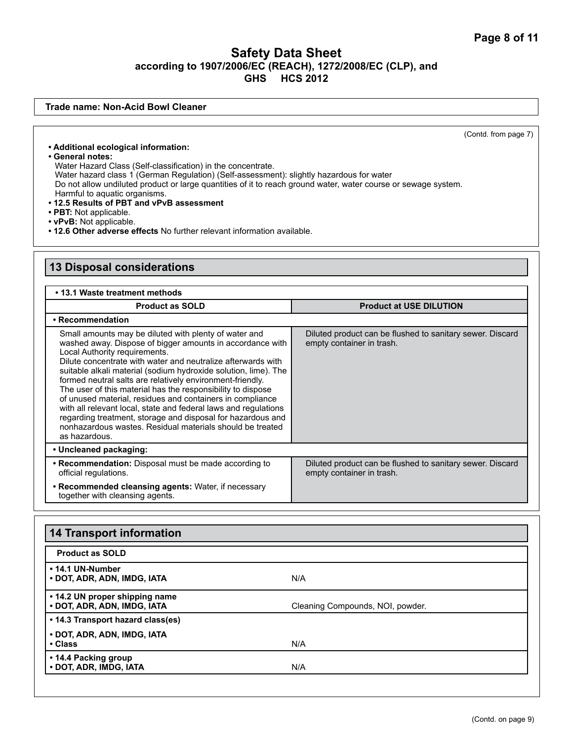**Trade name: Non-Acid Bowl Cleaner**

(Contd. from page 7)

- **Additional ecological information:**
- **General notes:**

Water Hazard Class (Self-classification) in the concentrate. Water hazard class 1 (German Regulation) (Self-assessment): slightly hazardous for water Do not allow undiluted product or large quantities of it to reach ground water, water course or sewage system. Harmful to aquatic organisms. **• 12.5 Results of PBT and vPvB assessment**

- **PBT:** Not applicable.
- **vPvB:** Not applicable.
- **12.6 Other adverse effects** No further relevant information available.

## **13 Disposal considerations**

#### **• 13.1 Waste treatment methods**

| <b>Product as SOLD</b>                                                                                                                                                                                                                                                                                                                                                                                                                                                                                                                                                                                                                                                                          | <b>Product at USE DILUTION</b>                                                         |
|-------------------------------------------------------------------------------------------------------------------------------------------------------------------------------------------------------------------------------------------------------------------------------------------------------------------------------------------------------------------------------------------------------------------------------------------------------------------------------------------------------------------------------------------------------------------------------------------------------------------------------------------------------------------------------------------------|----------------------------------------------------------------------------------------|
| • Recommendation                                                                                                                                                                                                                                                                                                                                                                                                                                                                                                                                                                                                                                                                                |                                                                                        |
| Small amounts may be diluted with plenty of water and<br>washed away. Dispose of bigger amounts in accordance with<br>Local Authority requirements.<br>Dilute concentrate with water and neutralize afterwards with<br>suitable alkali material (sodium hydroxide solution, lime). The<br>formed neutral salts are relatively environment-friendly.<br>The user of this material has the responsibility to dispose<br>of unused material, residues and containers in compliance<br>with all relevant local, state and federal laws and regulations<br>regarding treatment, storage and disposal for hazardous and<br>nonhazardous wastes. Residual materials should be treated<br>as hazardous. | Diluted product can be flushed to sanitary sewer. Discard<br>empty container in trash. |
| • Uncleaned packaging:                                                                                                                                                                                                                                                                                                                                                                                                                                                                                                                                                                                                                                                                          |                                                                                        |
| • Recommendation: Disposal must be made according to<br>official regulations.                                                                                                                                                                                                                                                                                                                                                                                                                                                                                                                                                                                                                   | Diluted product can be flushed to sanitary sewer. Discard<br>empty container in trash. |
| • Recommended cleansing agents: Water, if necessary<br>together with cleansing agents.                                                                                                                                                                                                                                                                                                                                                                                                                                                                                                                                                                                                          |                                                                                        |

| <b>14 Transport information</b>                               |                                  |  |
|---------------------------------------------------------------|----------------------------------|--|
| <b>Product as SOLD</b>                                        |                                  |  |
| • 14.1 UN-Number<br>• DOT, ADR, ADN, IMDG, IATA               | N/A                              |  |
| • 14.2 UN proper shipping name<br>• DOT, ADR, ADN, IMDG, IATA | Cleaning Compounds, NOI, powder. |  |
| • 14.3 Transport hazard class(es)                             |                                  |  |
| • DOT, ADR, ADN, IMDG, IATA<br>• Class                        | N/A                              |  |
| • 14.4 Packing group<br>• DOT, ADR, IMDG, IATA                | N/A                              |  |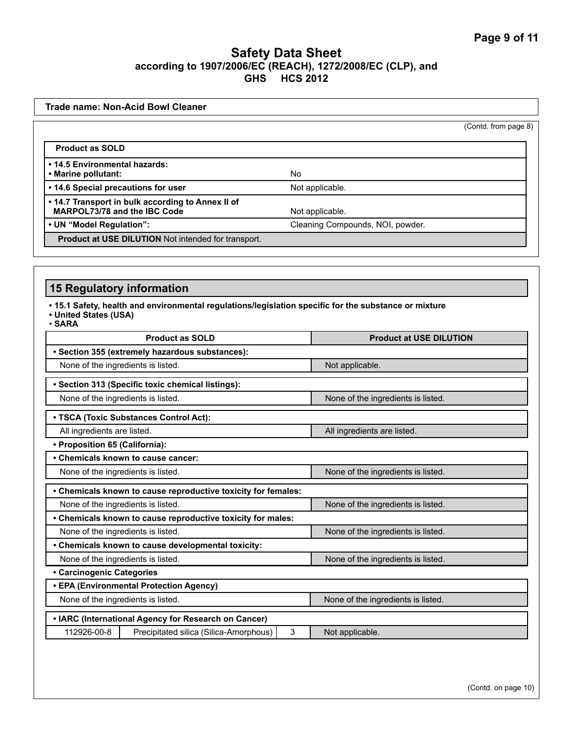| <b>Trade name: Non-Acid Bowl Cleaner</b>                                          |                                  |                      |
|-----------------------------------------------------------------------------------|----------------------------------|----------------------|
|                                                                                   |                                  | (Contd. from page 8) |
| <b>Product as SOLD</b>                                                            |                                  |                      |
| . 14.5 Environmental hazards:<br>• Marine pollutant:                              | <b>No</b>                        |                      |
| • 14.6 Special precautions for user                                               | Not applicable.                  |                      |
| . 14.7 Transport in bulk according to Annex II of<br>MARPOL73/78 and the IBC Code | Not applicable.                  |                      |
| • UN "Model Regulation":                                                          | Cleaning Compounds, NOI, powder. |                      |
| <b>Product at USE DILUTION</b> Not intended for transport.                        |                                  |                      |

# **15 Regulatory information**

**• 15.1 Safety, health and environmental regulations/legislation specific for the substance or mixture**

**• United States (USA)** • **SARA**

| <b>Product as SOLD</b>                                                   | <b>Product at USE DILUTION</b>     |  |  |  |
|--------------------------------------------------------------------------|------------------------------------|--|--|--|
| • Section 355 (extremely hazardous substances):                          |                                    |  |  |  |
| None of the ingredients is listed.                                       | Not applicable.                    |  |  |  |
| · Section 313 (Specific toxic chemical listings):                        |                                    |  |  |  |
| None of the ingredients is listed.                                       | None of the ingredients is listed. |  |  |  |
| • TSCA (Toxic Substances Control Act):                                   |                                    |  |  |  |
| All ingredients are listed.                                              | All ingredients are listed.        |  |  |  |
| • Proposition 65 (California):                                           |                                    |  |  |  |
| • Chemicals known to cause cancer:                                       |                                    |  |  |  |
| None of the ingredients is listed.                                       | None of the ingredients is listed. |  |  |  |
| • Chemicals known to cause reproductive toxicity for females:            |                                    |  |  |  |
| None of the ingredients is listed.<br>None of the ingredients is listed. |                                    |  |  |  |
| • Chemicals known to cause reproductive toxicity for males:              |                                    |  |  |  |
| None of the ingredients is listed.                                       | None of the ingredients is listed. |  |  |  |
| • Chemicals known to cause developmental toxicity:                       |                                    |  |  |  |
| None of the ingredients is listed.                                       | None of the ingredients is listed. |  |  |  |
| • Carcinogenic Categories                                                |                                    |  |  |  |
| • EPA (Environmental Protection Agency)                                  |                                    |  |  |  |
| None of the ingredients is listed.                                       | None of the ingredients is listed. |  |  |  |
| • IARC (International Agency for Research on Cancer)                     |                                    |  |  |  |
| 112926-00-8<br>Precipitated silica (Silica-Amorphous)<br>3               | Not applicable.                    |  |  |  |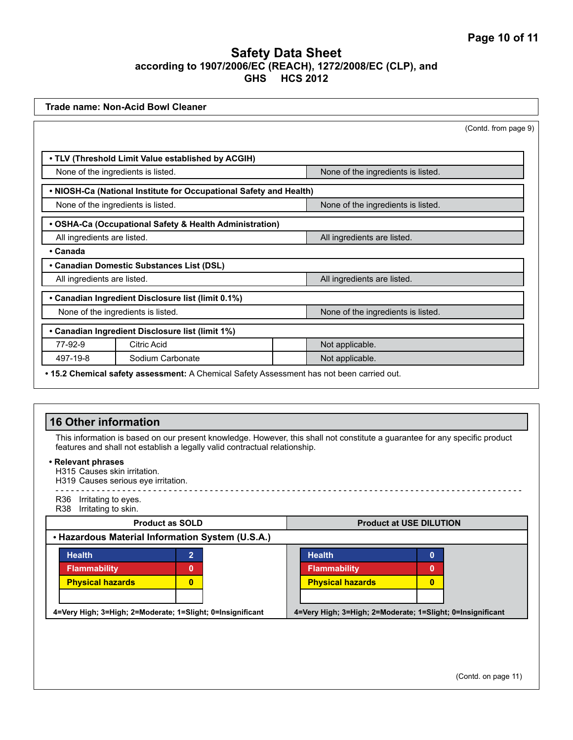|          | <b>Trade name: Non-Acid Bowl Cleaner</b>                                                  |  |                                    |                      |
|----------|-------------------------------------------------------------------------------------------|--|------------------------------------|----------------------|
|          |                                                                                           |  |                                    | (Contd. from page 9) |
|          |                                                                                           |  |                                    |                      |
|          | . TLV (Threshold Limit Value established by ACGIH)                                        |  |                                    |                      |
|          | None of the ingredients is listed.                                                        |  | None of the ingredients is listed. |                      |
|          | . NIOSH-Ca (National Institute for Occupational Safety and Health)                        |  |                                    |                      |
|          | None of the ingredients is listed.                                                        |  | None of the ingredients is listed. |                      |
|          | • OSHA-Ca (Occupational Safety & Health Administration)                                   |  |                                    |                      |
|          | All ingredients are listed.                                                               |  | All ingredients are listed.        |                      |
| • Canada |                                                                                           |  |                                    |                      |
|          | • Canadian Domestic Substances List (DSL)                                                 |  |                                    |                      |
|          | All ingredients are listed.                                                               |  | All ingredients are listed.        |                      |
|          | • Canadian Ingredient Disclosure list (limit 0.1%)                                        |  |                                    |                      |
|          | None of the ingredients is listed.                                                        |  | None of the ingredients is listed. |                      |
|          | • Canadian Ingredient Disclosure list (limit 1%)                                          |  |                                    |                      |
| 77-92-9  | Citric Acid                                                                               |  | Not applicable.                    |                      |
| 497-19-8 | Sodium Carbonate                                                                          |  | Not applicable.                    |                      |
|          | • 15.2 Chemical safety assessment: A Chemical Safety Assessment has not been carried out. |  |                                    |                      |

| <b>16 Other information</b>                                                               |                        |  |                                                                                                                             |          |
|-------------------------------------------------------------------------------------------|------------------------|--|-----------------------------------------------------------------------------------------------------------------------------|----------|
| features and shall not establish a legally valid contractual relationship.                |                        |  | This information is based on our present knowledge. However, this shall not constitute a guarantee for any specific product |          |
| • Relevant phrases<br>H315 Causes skin irritation.<br>H319 Causes serious eye irritation. |                        |  |                                                                                                                             |          |
| R36 Irritating to eyes.<br>Irritating to skin.<br>R38                                     |                        |  |                                                                                                                             |          |
|                                                                                           | <b>Product as SOLD</b> |  | <b>Product at USE DILUTION</b>                                                                                              |          |
| • Hazardous Material Information System (U.S.A.)                                          |                        |  |                                                                                                                             |          |
| <b>Health</b>                                                                             | 2                      |  | <b>Health</b>                                                                                                               | $\bf{0}$ |
| <b>Flammability</b>                                                                       | 0                      |  | <b>Flammability</b>                                                                                                         | 0        |
| <b>Physical hazards</b>                                                                   | $\mathbf{0}$           |  | <b>Physical hazards</b>                                                                                                     | $\bf{0}$ |
|                                                                                           |                        |  |                                                                                                                             |          |
| 4=Very High; 3=High; 2=Moderate; 1=Slight; 0=Insignificant                                |                        |  | 4=Very High; 3=High; 2=Moderate; 1=Slight; 0=Insignificant                                                                  |          |
|                                                                                           |                        |  |                                                                                                                             |          |
|                                                                                           |                        |  |                                                                                                                             |          |
|                                                                                           |                        |  |                                                                                                                             |          |
|                                                                                           |                        |  |                                                                                                                             |          |